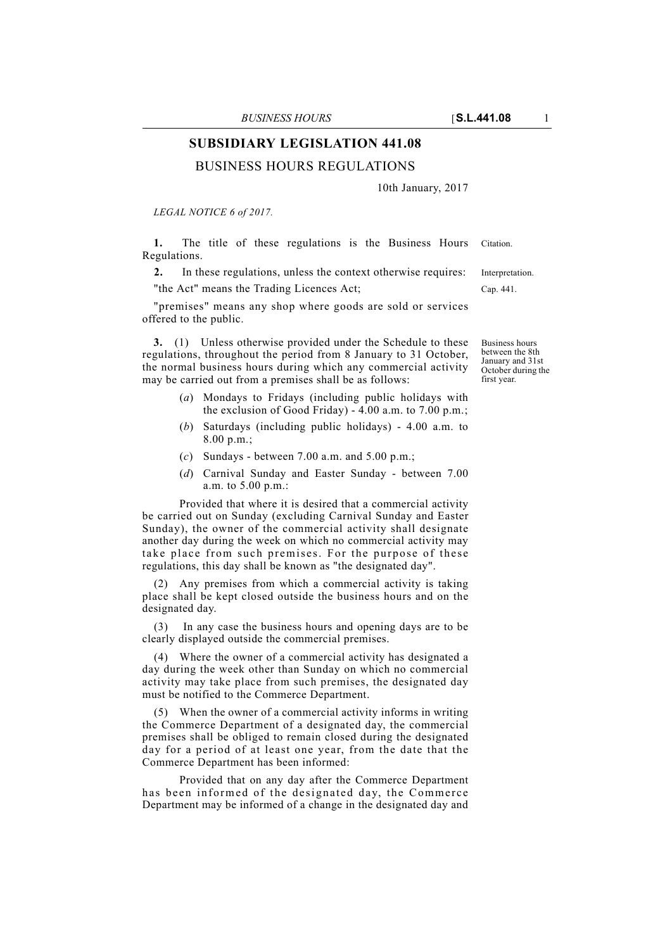# **SUBSIDIARY LEGISLATION 441.08**

## BUSINESS HOURS REGULATIONS

10th January, 2017

*LEGAL NOTICE 6 of 2017.*

**1.** The title of these regulations is the Business Hours Citation. Regulations.

**2.** In these regulations, unless the context otherwise requires: Interpretation. "the Act" means the Trading Licences Act; Cap. 441.

"premises" means any shop where goods are sold or services offered to the public.

**3.** (1) Unless otherwise provided under the Schedule to these regulations, throughout the period from 8 January to 31 October, the normal business hours during which any commercial activity may be carried out from a premises shall be as follows:

- (*a*) Mondays to Fridays (including public holidays with the exclusion of Good Friday) - 4.00 a.m. to 7.00 p.m.;
- (*b*) Saturdays (including public holidays) 4.00 a.m. to 8.00 p.m.;
- (*c*) Sundays between 7.00 a.m. and 5.00 p.m.;
- (*d*) Carnival Sunday and Easter Sunday between 7.00 a.m. to 5.00 p.m.:

Provided that where it is desired that a commercial activity be carried out on Sunday (excluding Carnival Sunday and Easter Sunday), the owner of the commercial activity shall designate another day during the week on which no commercial activity may take place from such premises. For the purpose of these regulations, this day shall be known as "the designated day".

(2) Any premises from which a commercial activity is taking place shall be kept closed outside the business hours and on the designated day.

In any case the business hours and opening days are to be clearly displayed outside the commercial premises.

(4) Where the owner of a commercial activity has designated a day during the week other than Sunday on which no commercial activity may take place from such premises, the designated day must be notified to the Commerce Department.

(5) When the owner of a commercial activity informs in writing the Commerce Department of a designated day, the commercial premises shall be obliged to remain closed during the designated day for a period of at least one year, from the date that the Commerce Department has been informed:

Provided that on any day after the Commerce Department has been informed of the designated day, the Commerce Department may be informed of a change in the designated day and

Business hours between the 8th January and 31st October during the first year.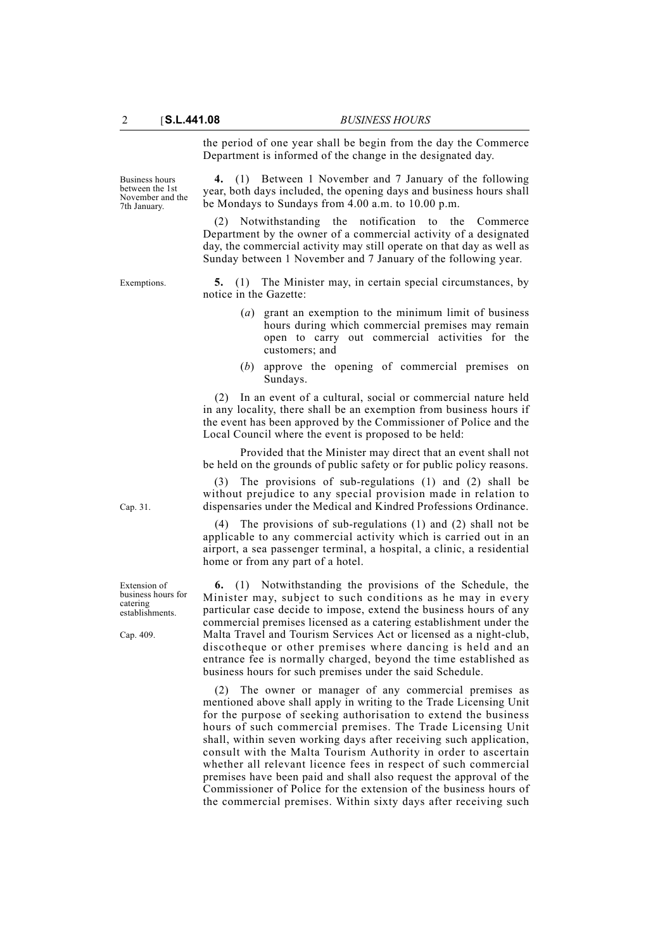the period of one year shall be begin from the day the Commerce Department is informed of the change in the designated day.

Business hours between the 1st November and the 7th January.

**4.** (1) Between 1 November and 7 January of the following year, both days included, the opening days and business hours shall be Mondays to Sundays from 4.00 a.m. to 10.00 p.m.

(2) Notwithstanding the notification to the Commerce Department by the owner of a commercial activity of a designated day, the commercial activity may still operate on that day as well as Sunday between 1 November and 7 January of the following year.

Exemptions. **5.** (1) The Minister may, in certain special circumstances, by notice in the Gazette:

- (*a*) grant an exemption to the minimum limit of business hours during which commercial premises may remain open to carry out commercial activities for the customers; and
- (*b*) approve the opening of commercial premises on Sundays.

(2) In an event of a cultural, social or commercial nature held in any locality, there shall be an exemption from business hours if the event has been approved by the Commissioner of Police and the Local Council where the event is proposed to be held:

Provided that the Minister may direct that an event shall not be held on the grounds of public safety or for public policy reasons.

(3) The provisions of sub-regulations (1) and (2) shall be without prejudice to any special provision made in relation to dispensaries under the Medical and Kindred Professions Ordinance.

(4) The provisions of sub-regulations (1) and (2) shall not be applicable to any commercial activity which is carried out in an airport, a sea passenger terminal, a hospital, a clinic, a residential home or from any part of a hotel.

**6.** (1) Notwithstanding the provisions of the Schedule, the Minister may, subject to such conditions as he may in every particular case decide to impose, extend the business hours of any commercial premises licensed as a catering establishment under the Malta Travel and Tourism Services Act or licensed as a night-club, discotheque or other premises where dancing is held and an entrance fee is normally charged, beyond the time established as business hours for such premises under the said Schedule.

(2) The owner or manager of any commercial premises as mentioned above shall apply in writing to the Trade Licensing Unit for the purpose of seeking authorisation to extend the business hours of such commercial premises. The Trade Licensing Unit shall, within seven working days after receiving such application, consult with the Malta Tourism Authority in order to ascertain whether all relevant licence fees in respect of such commercial premises have been paid and shall also request the approval of the Commissioner of Police for the extension of the business hours of the commercial premises. Within sixty days after receiving such

Cap. 31.

Extension of business hours for catering establishments.

Cap. 409.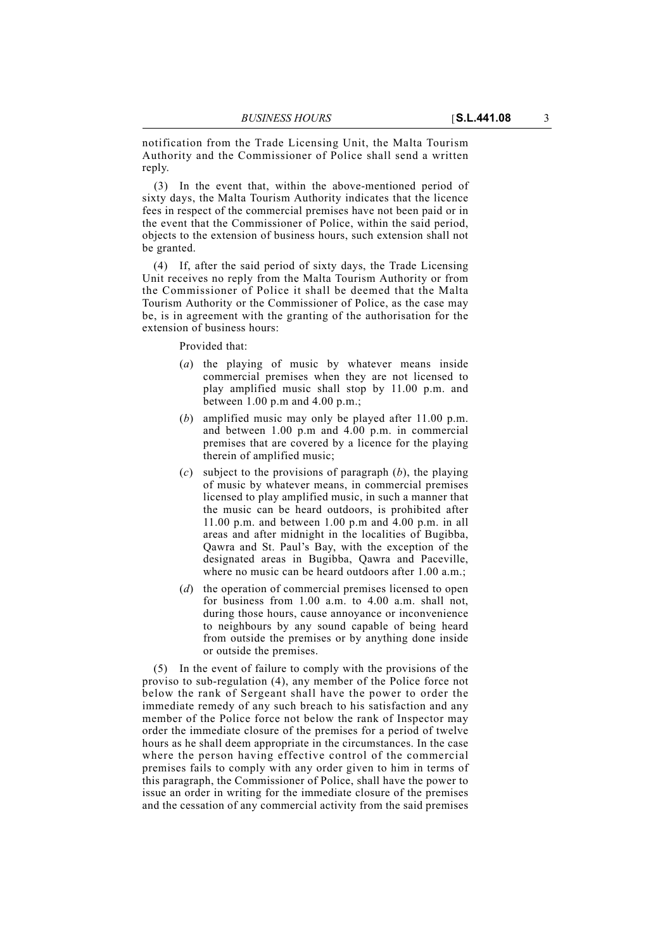notification from the Trade Licensing Unit, the Malta Tourism Authority and the Commissioner of Police shall send a written reply.

(3) In the event that, within the above-mentioned period of sixty days, the Malta Tourism Authority indicates that the licence fees in respect of the commercial premises have not been paid or in the event that the Commissioner of Police, within the said period, objects to the extension of business hours, such extension shall not be granted.

(4) If, after the said period of sixty days, the Trade Licensing Unit receives no reply from the Malta Tourism Authority or from the Commissioner of Police it shall be deemed that the Malta Tourism Authority or the Commissioner of Police, as the case may be, is in agreement with the granting of the authorisation for the extension of business hours:

Provided that:

- (*a*) the playing of music by whatever means inside commercial premises when they are not licensed to play amplified music shall stop by 11.00 p.m. and between 1.00 p.m and 4.00 p.m.;
- (*b*) amplified music may only be played after 11.00 p.m. and between 1.00 p.m and 4.00 p.m. in commercial premises that are covered by a licence for the playing therein of amplified music;
- (*c*) subject to the provisions of paragraph (*b*), the playing of music by whatever means, in commercial premises licensed to play amplified music, in such a manner that the music can be heard outdoors, is prohibited after 11.00 p.m. and between 1.00 p.m and 4.00 p.m. in all areas and after midnight in the localities of Bugibba, Qawra and St. Paul's Bay, with the exception of the designated areas in Bugibba, Qawra and Paceville, where no music can be heard outdoors after 1.00 a.m.;
- (*d*) the operation of commercial premises licensed to open for business from 1.00 a.m. to 4.00 a.m. shall not, during those hours, cause annoyance or inconvenience to neighbours by any sound capable of being heard from outside the premises or by anything done inside or outside the premises.

(5) In the event of failure to comply with the provisions of the proviso to sub-regulation (4), any member of the Police force not below the rank of Sergeant shall have the power to order the immediate remedy of any such breach to his satisfaction and any member of the Police force not below the rank of Inspector may order the immediate closure of the premises for a period of twelve hours as he shall deem appropriate in the circumstances. In the case where the person having effective control of the commercial premises fails to comply with any order given to him in terms of this paragraph, the Commissioner of Police, shall have the power to issue an order in writing for the immediate closure of the premises and the cessation of any commercial activity from the said premises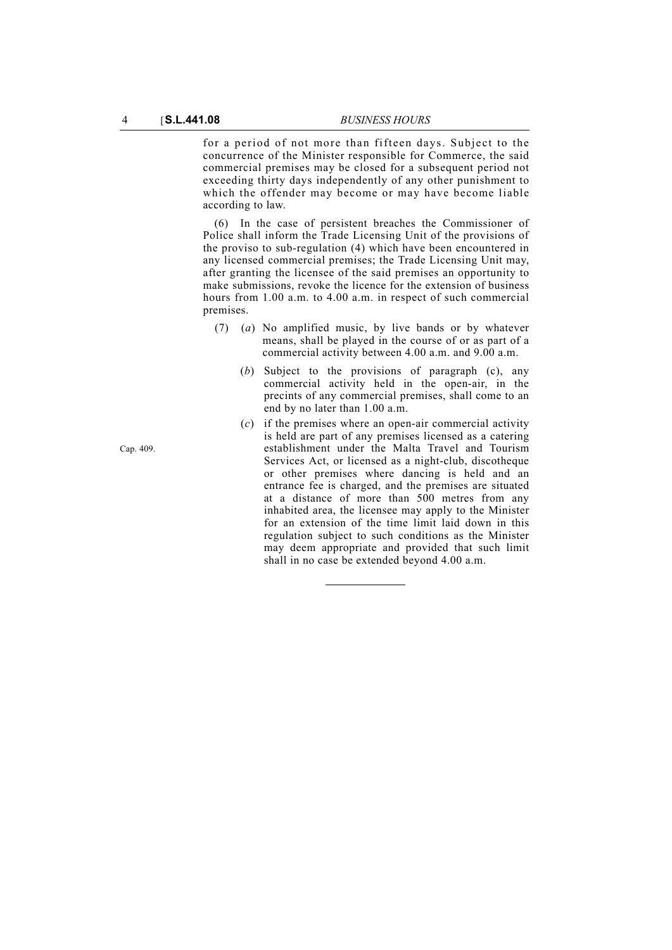for a period of not more than fifteen days. Subject to the concurrence of the Minister responsible for Commerce, the said commercial premises may be closed for a subsequent period not exceeding thirty days independently of any other punishment to which the offender may become or may have become liable according to law.

(6) In the case of persistent breaches the Commissioner of Police shall inform the Trade Licensing Unit of the provisions of the proviso to sub-regulation (4) which have been encountered in any licensed commercial premises; the Trade Licensing Unit may, after granting the licensee of the said premises an opportunity to make submissions, revoke the licence for the extension of business hours from 1.00 a.m. to 4.00 a.m. in respect of such commercial premises.

- (7) (*a*) No amplified music, by live bands or by whatever means, shall be played in the course of or as part of a commercial activity between 4.00 a.m. and 9.00 a.m.
	- (*b*) Subject to the provisions of paragraph (c), any commercial activity held in the open-air, in the precints of any commercial premises, shall come to an end by no later than 1.00 a.m.
	- (*c*) if the premises where an open-air commercial activity is held are part of any premises licensed as a catering establishment under the Malta Travel and Tourism Services Act, or licensed as a night-club, discotheque or other premises where dancing is held and an entrance fee is charged, and the premises are situated at a distance of more than 500 metres from any inhabited area, the licensee may apply to the Minister for an extension of the time limit laid down in this regulation subject to such conditions as the Minister may deem appropriate and provided that such limit shall in no case be extended beyond 4.00 a.m.

Cap. 409.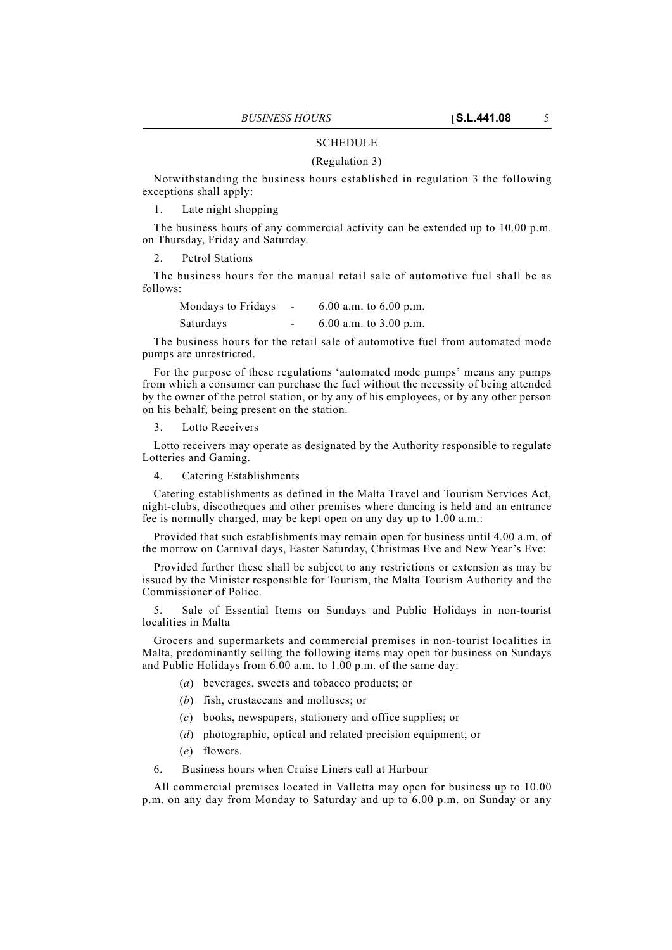### **SCHEDULE**

#### (Regulation 3)

Notwithstanding the business hours established in regulation 3 the following exceptions shall apply:

1. Late night shopping

The business hours of any commercial activity can be extended up to 10.00 p.m. on Thursday, Friday and Saturday.

2. Petrol Stations

The business hours for the manual retail sale of automotive fuel shall be as follows:

Mondays to Fridays - 6.00 a.m. to 6.00 p.m. Saturdays - 6.00 a.m. to 3.00 p.m.

The business hours for the retail sale of automotive fuel from automated mode pumps are unrestricted.

For the purpose of these regulations 'automated mode pumps' means any pumps from which a consumer can purchase the fuel without the necessity of being attended by the owner of the petrol station, or by any of his employees, or by any other person on his behalf, being present on the station.

3. Lotto Receivers

Lotto receivers may operate as designated by the Authority responsible to regulate Lotteries and Gaming.

4. Catering Establishments

Catering establishments as defined in the Malta Travel and Tourism Services Act, night-clubs, discotheques and other premises where dancing is held and an entrance fee is normally charged, may be kept open on any day up to 1.00 a.m.:

Provided that such establishments may remain open for business until 4.00 a.m. of the morrow on Carnival days, Easter Saturday, Christmas Eve and New Year's Eve:

Provided further these shall be subject to any restrictions or extension as may be issued by the Minister responsible for Tourism, the Malta Tourism Authority and the Commissioner of Police.

5. Sale of Essential Items on Sundays and Public Holidays in non-tourist localities in Malta

Grocers and supermarkets and commercial premises in non-tourist localities in Malta, predominantly selling the following items may open for business on Sundays and Public Holidays from 6.00 a.m. to 1.00 p.m. of the same day:

- (*a*) beverages, sweets and tobacco products; or
- (*b*) fish, crustaceans and molluscs; or
- (*c*) books, newspapers, stationery and office supplies; or
- (*d*) photographic, optical and related precision equipment; or
- (*e*) flowers.
- 6. Business hours when Cruise Liners call at Harbour

All commercial premises located in Valletta may open for business up to 10.00 p.m. on any day from Monday to Saturday and up to 6.00 p.m. on Sunday or any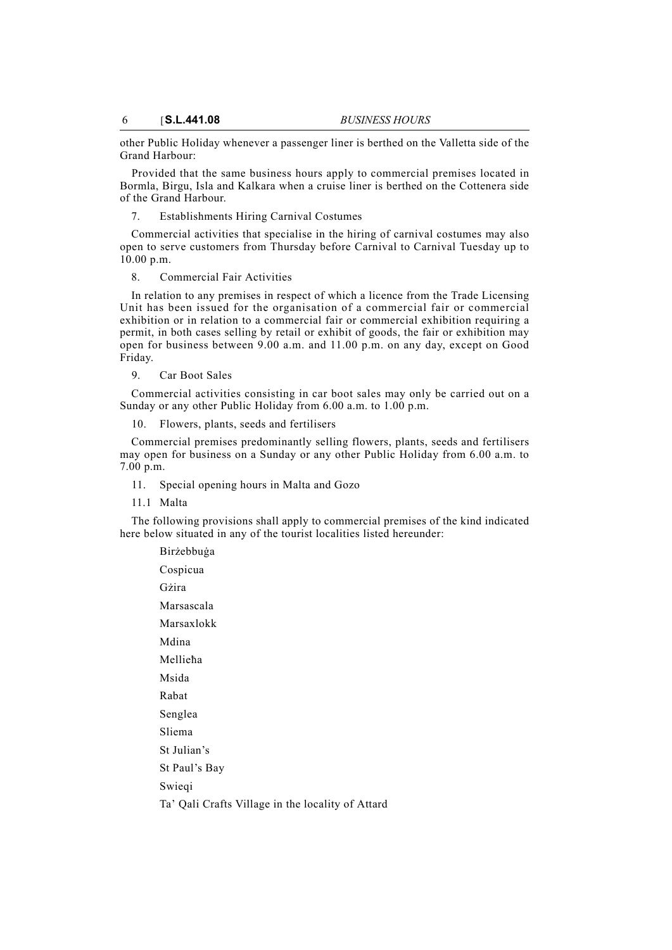other Public Holiday whenever a passenger liner is berthed on the Valletta side of the Grand Harbour:

Provided that the same business hours apply to commercial premises located in Bormla, Birgu, Isla and Kalkara when a cruise liner is berthed on the Cottenera side of the Grand Harbour.

7. Establishments Hiring Carnival Costumes

Commercial activities that specialise in the hiring of carnival costumes may also open to serve customers from Thursday before Carnival to Carnival Tuesday up to 10.00 p.m.

### 8. Commercial Fair Activities

In relation to any premises in respect of which a licence from the Trade Licensing Unit has been issued for the organisation of a commercial fair or commercial exhibition or in relation to a commercial fair or commercial exhibition requiring a permit, in both cases selling by retail or exhibit of goods, the fair or exhibition may open for business between 9.00 a.m. and 11.00 p.m. on any day, except on Good Friday.

9. Car Boot Sales

Commercial activities consisting in car boot sales may only be carried out on a Sunday or any other Public Holiday from 6.00 a.m. to 1.00 p.m.

10. Flowers, plants, seeds and fertilisers

Commercial premises predominantly selling flowers, plants, seeds and fertilisers may open for business on a Sunday or any other Public Holiday from 6.00 a.m. to 7.00 p.m.

11. Special opening hours in Malta and Gozo

11.1 Malta

The following provisions shall apply to commercial premises of the kind indicated here below situated in any of the tourist localities listed hereunder:

| Birżebbuġa                                        |
|---------------------------------------------------|
| Cospicua                                          |
| Gżira                                             |
| Marsascala                                        |
| Marsaxlokk                                        |
| Mdina                                             |
| Mellieha                                          |
| Msida                                             |
| Rabat                                             |
| Senglea                                           |
| Sliema                                            |
| St Julian's                                       |
| St Paul's Bay                                     |
| Swieqi                                            |
| Ta' Qali Crafts Village in the locality of Attard |
|                                                   |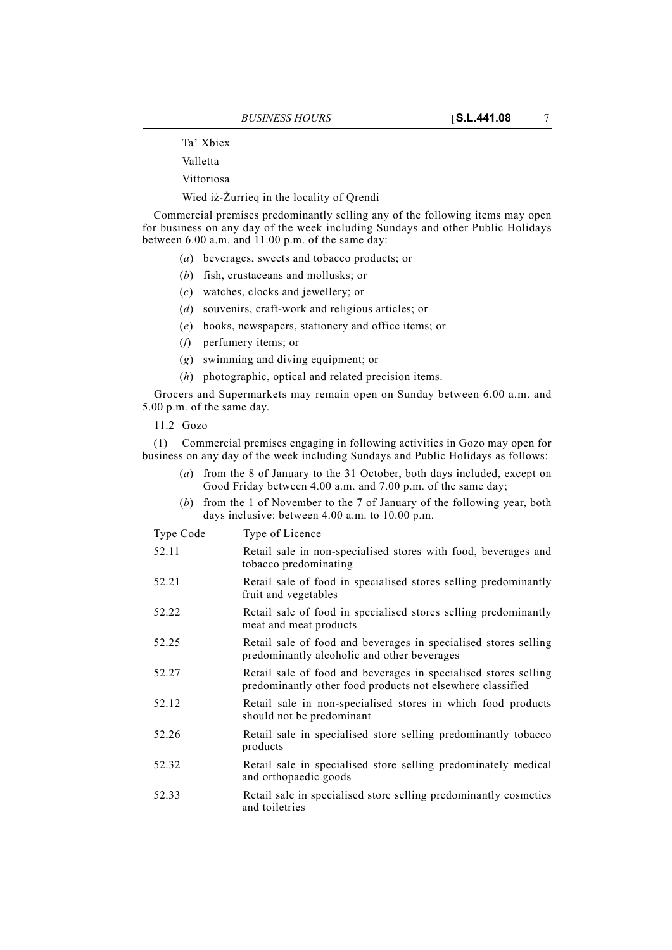Ta' Xbiex

Valletta

Vittoriosa

Wied iż-Żurrieq in the locality of Qrendi

Commercial premises predominantly selling any of the following items may open for business on any day of the week including Sundays and other Public Holidays between 6.00 a.m. and 11.00 p.m. of the same day:

- (*a*) beverages, sweets and tobacco products; or
- (*b*) fish, crustaceans and mollusks; or
- (*c*) watches, clocks and jewellery; or
- (*d*) souvenirs, craft-work and religious articles; or
- (*e*) books, newspapers, stationery and office items; or
- (*f*) perfumery items; or
- (*g*) swimming and diving equipment; or
- (*h*) photographic, optical and related precision items.

Grocers and Supermarkets may remain open on Sunday between 6.00 a.m. and 5.00 p.m. of the same day.

11.2 Gozo

(1) Commercial premises engaging in following activities in Gozo may open for business on any day of the week including Sundays and Public Holidays as follows:

- (*a*) from the 8 of January to the 31 October, both days included, except on Good Friday between 4.00 a.m. and 7.00 p.m. of the same day;
- (*b*) from the 1 of November to the 7 of January of the following year, both days inclusive: between 4.00 a.m. to 10.00 p.m.

Type Code Type of Licence

- 52.11 Retail sale in non-specialised stores with food, beverages and tobacco predominating
- 52.21 Retail sale of food in specialised stores selling predominantly fruit and vegetables
- 52.22 Retail sale of food in specialised stores selling predominantly meat and meat products
- 52.25 Retail sale of food and beverages in specialised stores selling predominantly alcoholic and other beverages
- 52.27 Retail sale of food and beverages in specialised stores selling predominantly other food products not elsewhere classified
- 52.12 Retail sale in non-specialised stores in which food products should not be predominant
- 52.26 Retail sale in specialised store selling predominantly tobacco products
- 52.32 Retail sale in specialised store selling predominately medical and orthopaedic goods
- 52.33 Retail sale in specialised store selling predominantly cosmetics and toiletries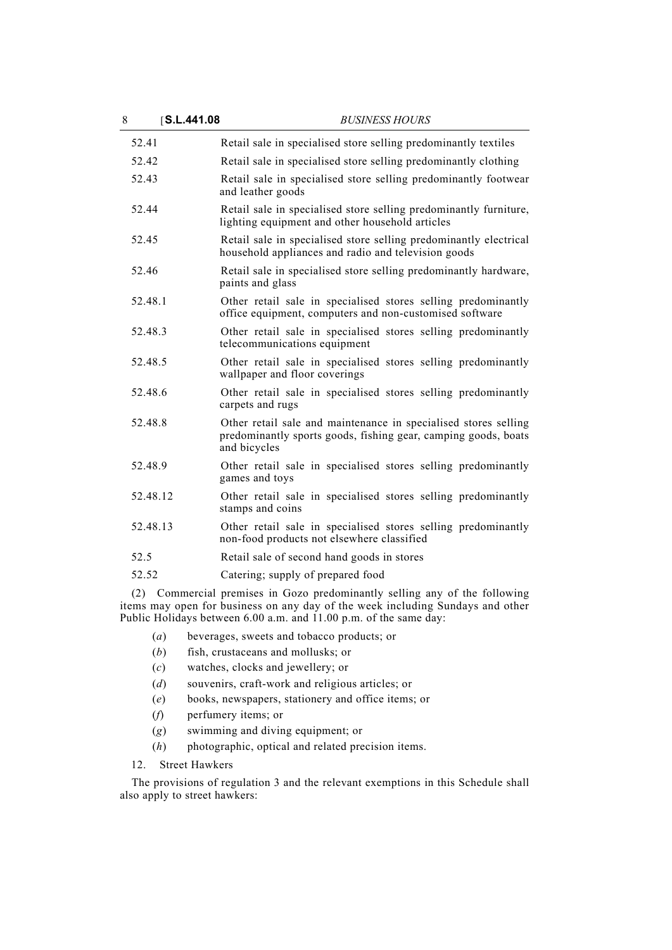| 8 | <b>S.L.441.08</b> | <b>BUSINESS HOURS</b>                                                                                                                             |
|---|-------------------|---------------------------------------------------------------------------------------------------------------------------------------------------|
|   | 52.41             | Retail sale in specialised store selling predominantly textiles                                                                                   |
|   | 52.42             | Retail sale in specialised store selling predominantly clothing                                                                                   |
|   | 52.43             | Retail sale in specialised store selling predominantly footwear<br>and leather goods                                                              |
|   | 52.44             | Retail sale in specialised store selling predominantly furniture,<br>lighting equipment and other household articles                              |
|   | 52.45             | Retail sale in specialised store selling predominantly electrical<br>household appliances and radio and television goods                          |
|   | 52.46             | Retail sale in specialised store selling predominantly hardware,<br>paints and glass                                                              |
|   | 52.48.1           | Other retail sale in specialised stores selling predominantly<br>office equipment, computers and non-customised software                          |
|   | 52.48.3           | Other retail sale in specialised stores selling predominantly<br>telecommunications equipment                                                     |
|   | 52.48.5           | Other retail sale in specialised stores selling predominantly<br>wallpaper and floor coverings                                                    |
|   | 52.48.6           | Other retail sale in specialised stores selling predominantly<br>carpets and rugs                                                                 |
|   | 52.48.8           | Other retail sale and maintenance in specialised stores selling<br>predominantly sports goods, fishing gear, camping goods, boats<br>and bicycles |
|   | 52.48.9           | Other retail sale in specialised stores selling predominantly<br>games and toys                                                                   |
|   | 52.48.12          | Other retail sale in specialised stores selling predominantly<br>stamps and coins                                                                 |
|   | 52.48.13          | Other retail sale in specialised stores selling predominantly<br>non-food products not elsewhere classified                                       |
|   | 52.5              | Retail sale of second hand goods in stores                                                                                                        |
|   | 52.52             | Catering; supply of prepared food                                                                                                                 |
|   |                   | (2) Commercial premises in Gozo predominantly selling any of the following                                                                        |

(2) Commercial premises in Gozo predominantly selling any of the following items may open for business on any day of the week including Sundays and other Public Holidays between 6.00 a.m. and 11.00 p.m. of the same day:

- (*a*) beverages, sweets and tobacco products; or
- (*b*) fish, crustaceans and mollusks; or
- (*c*) watches, clocks and jewellery; or
- (*d*) souvenirs, craft-work and religious articles; or
- (*e*) books, newspapers, stationery and office items; or
- (*f*) perfumery items; or
- (*g*) swimming and diving equipment; or
- (*h*) photographic, optical and related precision items.
- 12. Street Hawkers

The provisions of regulation 3 and the relevant exemptions in this Schedule shall also apply to street hawkers: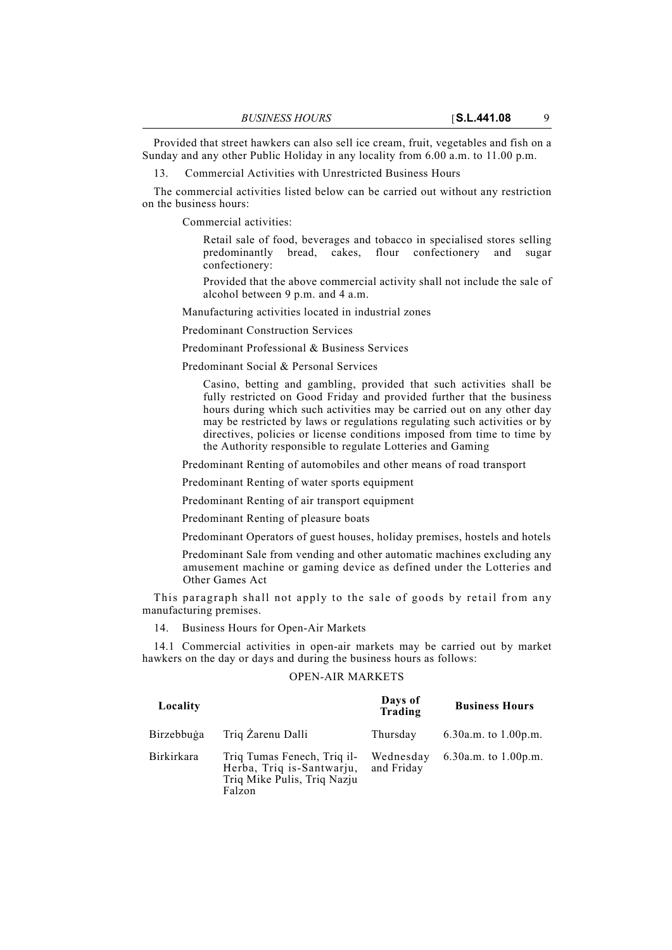Provided that street hawkers can also sell ice cream, fruit, vegetables and fish on a Sunday and any other Public Holiday in any locality from 6.00 a.m. to 11.00 p.m.

13. Commercial Activities with Unrestricted Business Hours

The commercial activities listed below can be carried out without any restriction on the business hours:

Commercial activities:

Retail sale of food, beverages and tobacco in specialised stores selling predominantly bread, cakes, flour confectionery and sugar confectionery:

Provided that the above commercial activity shall not include the sale of alcohol between 9 p.m. and 4 a.m.

Manufacturing activities located in industrial zones

Predominant Construction Services

Predominant Professional & Business Services

Predominant Social & Personal Services

Casino, betting and gambling, provided that such activities shall be fully restricted on Good Friday and provided further that the business hours during which such activities may be carried out on any other day may be restricted by laws or regulations regulating such activities or by directives, policies or license conditions imposed from time to time by the Authority responsible to regulate Lotteries and Gaming

Predominant Renting of automobiles and other means of road transport

Predominant Renting of water sports equipment

Predominant Renting of air transport equipment

Predominant Renting of pleasure boats

Predominant Operators of guest houses, holiday premises, hostels and hotels

Predominant Sale from vending and other automatic machines excluding any amusement machine or gaming device as defined under the Lotteries and Other Games Act

This paragraph shall not apply to the sale of goods by retail from any manufacturing premises.

14. Business Hours for Open-Air Markets

14.1 Commercial activities in open-air markets may be carried out by market hawkers on the day or days and during the business hours as follows:

## OPEN-AIR MARKETS

| Locality          |                                                                                                   | Days of<br>Trading      | <b>Business Hours</b>   |
|-------------------|---------------------------------------------------------------------------------------------------|-------------------------|-------------------------|
| Birzebbuga        | Triq Zarenu Dalli                                                                                 | Thursday                | 6.30a.m. to $1.00$ p.m. |
| <b>Birkirkara</b> | Triq Tumas Fenech, Triq il-<br>Herba, Triq is-Santwarju,<br>Triq Mike Pulis, Triq Nazju<br>Falzon | Wednesday<br>and Friday | 6.30a.m. to $1.00$ p.m. |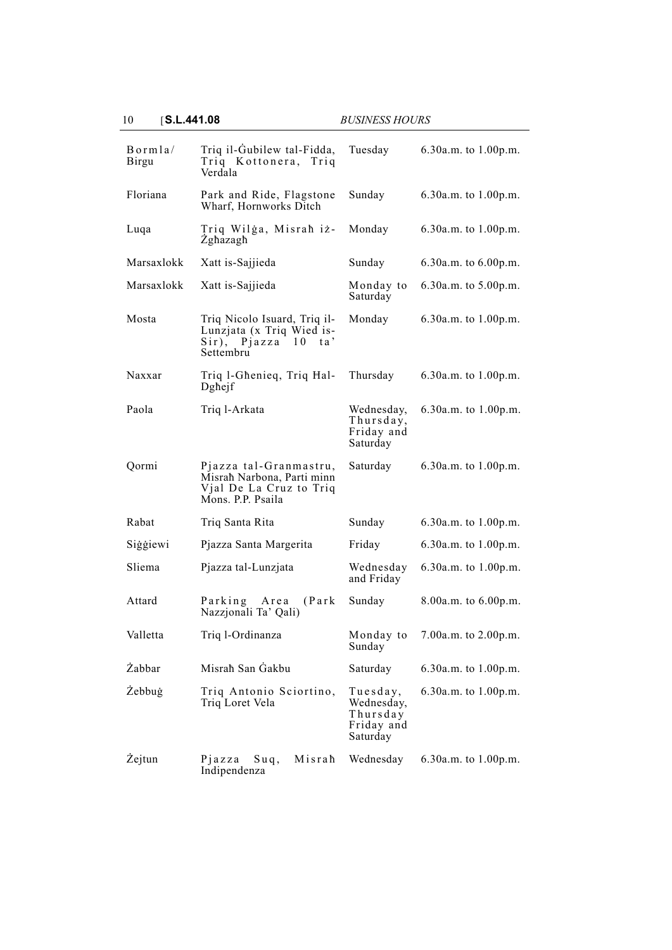| Bornla/<br><b>Birgu</b> | Triq il-Gubilew tal-Fidda,<br>Triq Kottonera, Triq<br>Verdala                                        | Tuesday                                                      | 6.30a.m. to 1.00p.m.     |
|-------------------------|------------------------------------------------------------------------------------------------------|--------------------------------------------------------------|--------------------------|
| Floriana                | Park and Ride, Flagstone<br>Wharf, Hornworks Ditch                                                   | Sunday                                                       | 6.30a.m. to 1.00p.m.     |
| Luqa                    | Triq Wilga, Misrah iz-<br>Zghazagh                                                                   | Monday                                                       | 6.30a.m. to 1.00p.m.     |
| Marsaxlokk              | Xatt is-Sajjieda                                                                                     | Sunday                                                       | 6.30a.m. to 6.00p.m.     |
| Marsaxlokk              | Xatt is-Sajjieda                                                                                     | Monday to<br>Saturday                                        | $6.30a.m.$ to $5.00p.m.$ |
| Mosta                   | Triq Nicolo Isuard, Triq il-<br>Lunzjata (x Triq Wied is-<br>Sir), Pjazza 10<br>ta'<br>Settembru     | Monday                                                       | 6.30a.m. to 1.00p.m.     |
| Naxxar                  | Triq 1-Ghenieq, Triq Hal-<br>Dghejf                                                                  | Thursday                                                     | 6.30a.m. to $1.00$ p.m.  |
| Paola                   | Triq l-Arkata                                                                                        | Wednesday,<br>Thursday,<br>Friday and<br>Saturday            | 6.30a.m. to 1.00p.m.     |
| Qormi                   | Pjazza tal-Granmastru,<br>Misrah Narbona, Parti minn<br>Vjal De La Cruz to Triq<br>Mons. P.P. Psaila | Saturday                                                     | 6.30a.m. to 1.00p.m.     |
| Rabat                   | Triq Santa Rita                                                                                      | Sunday                                                       | 6.30a.m. to 1.00p.m.     |
| Siģģiewi                |                                                                                                      |                                                              |                          |
|                         | Pjazza Santa Margerita                                                                               | Friday                                                       | 6.30a.m. to 1.00p.m.     |
| Sliema                  | Pjazza tal-Lunzjata                                                                                  | Wednesday<br>and Friday                                      | $6.30a.m.$ to $1.00p.m.$ |
| Attard                  | Parking Area<br>(Park)<br>Nazzjonali Ta' Qali)                                                       | Sunday                                                       | 8.00a.m. to 6.00p.m.     |
| Valletta                | Triq 1-Ordinanza                                                                                     | Monday to<br>Sunday                                          | 7.00a.m. to 2.00p.m.     |
| Żabbar                  | Misrah San Gakbu                                                                                     | Saturday                                                     | 6.30a.m. to 1.00p.m.     |
| Żebbuġ                  | Triq Antonio Sciortino,<br>Triq Loret Vela                                                           | Tuesday,<br>Wednesday,<br>Thursday<br>Friday and<br>Saturday | 6.30a.m. to $1.00$ p.m.  |